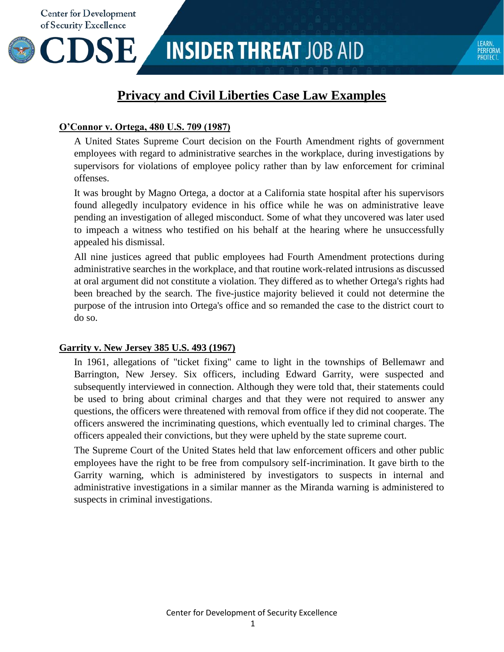**CDSE** 

## **Privacy and Civil Liberties Case Law Examples**

#### **O'Connor v. Ortega, 480 U.S. 709 (1987)**

A United States Supreme Court decision on the Fourth Amendment rights of government employees with regard to administrative searches in the workplace, during investigations by supervisors for violations of employee policy rather than by law enforcement for criminal offenses.

It was brought by Magno Ortega, a doctor at a California state hospital after his supervisors found allegedly inculpatory evidence in his office while he was on administrative leave pending an investigation of alleged misconduct. Some of what they uncovered was later used to impeach a witness who testified on his behalf at the hearing where he unsuccessfully appealed his dismissal.

All nine justices agreed that public employees had Fourth Amendment protections during administrative searches in the workplace, and that routine work-related intrusions as discussed at oral argument did not constitute a violation. They differed as to whether Ortega's rights had been breached by the search. The five-justice majority believed it could not determine the purpose of the intrusion into Ortega's office and so remanded the case to the district court to do so.

#### **Garrity v. New Jersey 385 U.S. 493 (1967)**

In 1961, allegations of "ticket fixing" came to light in the townships of Bellemawr and Barrington, New Jersey. Six officers, including Edward Garrity, were suspected and subsequently interviewed in connection. Although they were told that, their statements could be used to bring about criminal charges and that they were not required to answer any questions, the officers were threatened with removal from office if they did not cooperate. The officers answered the incriminating questions, which eventually led to criminal charges. The officers appealed their convictions, but they were upheld by the state supreme court.

The Supreme Court of the United States held that law enforcement officers and other public employees have the right to be free from compulsory self-incrimination. It gave birth to the Garrity warning, which is administered by investigators to suspects in internal and administrative investigations in a similar manner as the Miranda warning is administered to suspects in criminal investigations.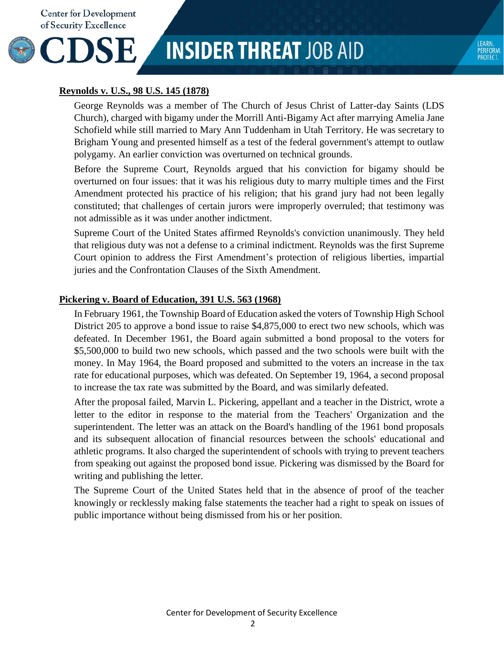

# **INSIDER THREAT JOB AID**

## **Reynolds v. U.S., 98 U.S. 145 (1878)**

George Reynolds was a member of The Church of Jesus Christ of Latter-day Saints (LDS Church), charged with bigamy under the Morrill Anti-Bigamy Act after marrying Amelia Jane Schofield while still married to Mary Ann Tuddenham in Utah Territory. He was secretary to Brigham Young and presented himself as a test of the federal government's attempt to outlaw polygamy. An earlier conviction was overturned on technical grounds.

Before the Supreme Court, Reynolds argued that his conviction for bigamy should be overturned on four issues: that it was his religious duty to marry multiple times and the First Amendment protected his practice of his religion; that his grand jury had not been legally constituted; that challenges of certain jurors were improperly overruled; that testimony was not admissible as it was under another indictment.

Supreme Court of the United States affirmed Reynolds's conviction unanimously. They held that religious duty was not a defense to a criminal indictment. Reynolds was the first Supreme Court opinion to address the First Amendment's protection of religious liberties, impartial juries and the Confrontation Clauses of the Sixth Amendment.

### **Pickering v. Board of Education, 391 U.S. 563 (1968)**

In February 1961, the Township Board of Education asked the voters of Township High School District 205 to approve a bond issue to raise \$4,875,000 to erect two new schools, which was defeated. In December 1961, the Board again submitted a bond proposal to the voters for \$5,500,000 to build two new schools, which passed and the two schools were built with the money. In May 1964, the Board proposed and submitted to the voters an increase in the tax rate for educational purposes, which was defeated. On September 19, 1964, a second proposal to increase the tax rate was submitted by the Board, and was similarly defeated.

After the proposal failed, Marvin L. Pickering, appellant and a teacher in the District, wrote a letter to the editor in response to the material from the Teachers' Organization and the superintendent. The letter was an attack on the Board's handling of the 1961 bond proposals and its subsequent allocation of financial resources between the schools' educational and athletic programs. It also charged the superintendent of schools with trying to prevent teachers from speaking out against the proposed bond issue. Pickering was dismissed by the Board for writing and publishing the letter.

The Supreme Court of the United States held that in the absence of proof of the teacher knowingly or recklessly making false statements the teacher had a right to speak on issues of public importance without being dismissed from his or her position.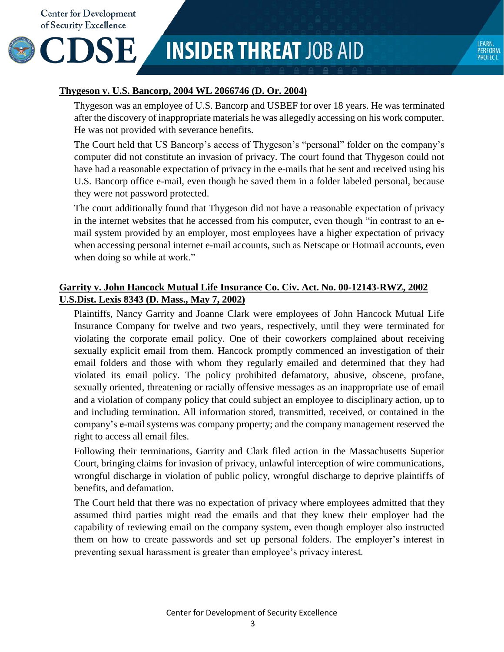CDSE

## **INSIDER THREAT JOB AID**

## **Thygeson v. U.S. Bancorp, 2004 WL 2066746 (D. Or. 2004)**

Thygeson was an employee of U.S. Bancorp and USBEF for over 18 years. He was terminated after the discovery of inappropriate materials he was allegedly accessing on his work computer. He was not provided with severance benefits.

The Court held that US Bancorp's access of Thygeson's "personal" folder on the company's computer did not constitute an invasion of privacy. The court found that Thygeson could not have had a reasonable expectation of privacy in the e-mails that he sent and received using his U.S. Bancorp office e-mail, even though he saved them in a folder labeled personal, because they were not password protected.

The court additionally found that Thygeson did not have a reasonable expectation of privacy in the internet websites that he accessed from his computer, even though "in contrast to an email system provided by an employer, most employees have a higher expectation of privacy when accessing personal internet e-mail accounts, such as Netscape or Hotmail accounts, even when doing so while at work."

## **Garrity v. John Hancock Mutual Life Insurance Co. Civ. Act. No. 00-12143-RWZ, 2002 U.S.Dist. Lexis 8343 (D. Mass., May 7, 2002)**

Plaintiffs, Nancy Garrity and Joanne Clark were employees of John Hancock Mutual Life Insurance Company for twelve and two years, respectively, until they were terminated for violating the corporate email policy. One of their coworkers complained about receiving sexually explicit email from them. Hancock promptly commenced an investigation of their email folders and those with whom they regularly emailed and determined that they had violated its email policy. The policy prohibited defamatory, abusive, obscene, profane, sexually oriented, threatening or racially offensive messages as an inappropriate use of email and a violation of company policy that could subject an employee to disciplinary action, up to and including termination. All information stored, transmitted, received, or contained in the company's e-mail systems was company property; and the company management reserved the right to access all email files.

Following their terminations, Garrity and Clark filed action in the Massachusetts Superior Court, bringing claims for invasion of privacy, unlawful interception of wire communications, wrongful discharge in violation of public policy, wrongful discharge to deprive plaintiffs of benefits, and defamation.

The Court held that there was no expectation of privacy where employees admitted that they assumed third parties might read the emails and that they knew their employer had the capability of reviewing email on the company system, even though employer also instructed them on how to create passwords and set up personal folders. The employer's interest in preventing sexual harassment is greater than employee's privacy interest.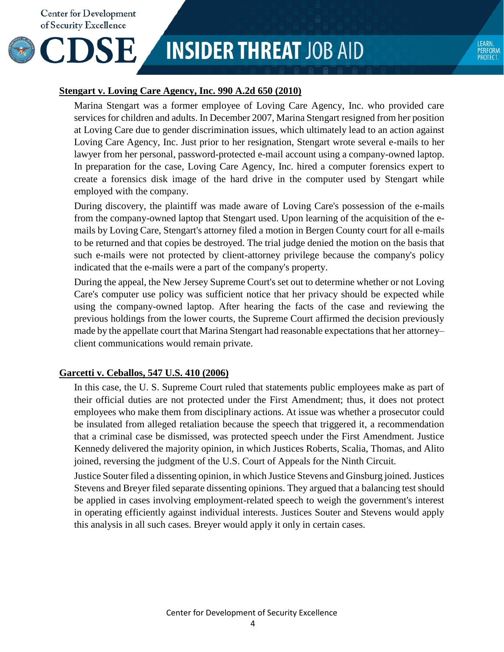

## **INSIDER THREAT JOB AID**

### **Stengart v. Loving Care Agency, Inc. 990 A.2d 650 (2010)**

Marina Stengart was a former employee of Loving Care Agency, Inc. who provided care services for children and adults. In December 2007, Marina Stengart resigned from her position at Loving Care due to gender discrimination issues, which ultimately lead to an action against Loving Care Agency, Inc. Just prior to her resignation, Stengart wrote several e-mails to her lawyer from her personal, password-protected e-mail account using a company-owned laptop. In preparation for the case, Loving Care Agency, Inc. hired a [computer forensics](https://en.wikipedia.org/wiki/Computer_forensics) expert to create a forensics [disk image](https://en.wikipedia.org/wiki/Disk_image) of the [hard drive](https://en.wikipedia.org/wiki/Hard_disk_drive) in the computer used by Stengart while employed with the company.

During [discovery,](https://en.wikipedia.org/wiki/Discovery_(law)) the plaintiff was made aware of Loving Care's possession of the e-mails from the company-owned laptop that Stengart used. Upon learning of the acquisition of the emails by Loving Care, Stengart's attorney filed a [motion](https://en.wikipedia.org/wiki/Motion_(legal)) in [Bergen County](https://en.wikipedia.org/wiki/Bergen_County,_New_Jersey) court for all e-mails to be returned and that copies be destroyed. The trial judge denied the motion on the basis that such e-mails were not protected by client-attorney privilege because the company's policy indicated that the e-mails were a part of the company's property.

During the appeal, the New Jersey Supreme Court's set out to determine whether or not Loving Care's computer use policy was sufficient notice that her privacy should be expected while using the company-owned laptop. After hearing the facts of the case and reviewing the previous holdings from the lower courts, the Supreme Court affirmed the decision previously made by the appellate court that Marina Stengart had reasonable expectations that her attorney– client communications would remain private.

### **Garcetti v. Ceballos, 547 U.S. 410 (2006)**

In this case, the U. S. Supreme Court ruled that statements public employees make as part of their official duties are not protected under the First Amendment; thus, it does not protect employees who make them from disciplinary actions. At issue was whether a prosecutor could be insulated from alleged retaliation because the speech that triggered it, a recommendation that a criminal case be dismissed, was protected speech under the First Amendment. Justice Kennedy delivered the majority opinion, in which Justices Roberts, Scalia, Thomas, and Alito joined, reversing the judgment of the U.S. Court of Appeals for the Ninth Circuit.

Justice Souter filed a dissenting opinion, in which Justice Stevens and Ginsburg joined. Justices Stevens and Breyer filed separate dissenting opinions. They argued that a balancing test should be applied in cases involving employment-related speech to weigh the government's interest in operating efficiently against individual interests. Justices Souter and Stevens would apply this analysis in all such cases. Breyer would apply it only in certain cases.